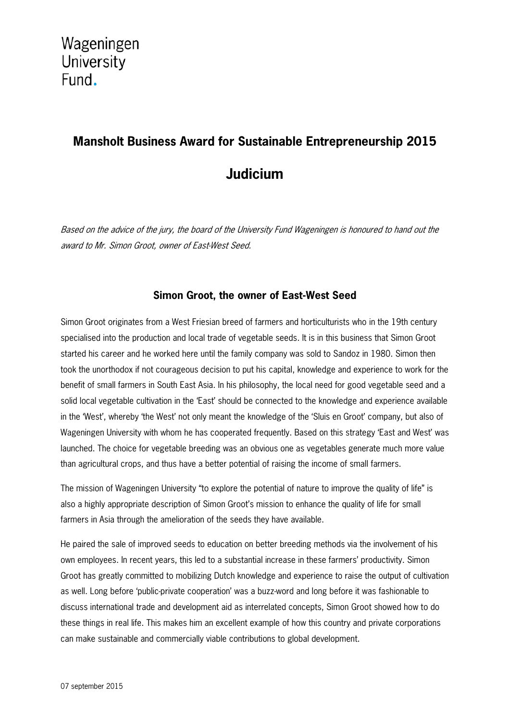## **Mansholt Business Award for Sustainable Entrepreneurship 2015 Judicium**

Based on the advice of the jury, the board of the University Fund Wageningen is honoured to hand out the award to Mr. Simon Groot, owner of East-West Seed.

## **Simon Groot, the owner of East-West Seed**

Simon Groot originates from a West Friesian breed of farmers and horticulturists who in the 19th century specialised into the production and local trade of vegetable seeds. It is in this business that Simon Groot started his career and he worked here until the family company was sold to Sandoz in 1980. Simon then took the unorthodox if not courageous decision to put his capital, knowledge and experience to work for the benefit of small farmers in South East Asia. In his philosophy, the local need for good vegetable seed and a solid local vegetable cultivation in the 'East' should be connected to the knowledge and experience available in the 'West', whereby 'the West' not only meant the knowledge of the 'Sluis en Groot' company, but also of Wageningen University with whom he has cooperated frequently. Based on this strategy 'East and West' was launched. The choice for vegetable breeding was an obvious one as vegetables generate much more value than agricultural crops, and thus have a better potential of raising the income of small farmers.

The mission of Wageningen University "to explore the potential of nature to improve the quality of life" is also a highly appropriate description of Simon Groot's mission to enhance the quality of life for small farmers in Asia through the amelioration of the seeds they have available.

He paired the sale of improved seeds to education on better breeding methods via the involvement of his own employees. In recent years, this led to a substantial increase in these farmers' productivity. Simon Groot has greatly committed to mobilizing Dutch knowledge and experience to raise the output of cultivation as well. Long before 'public-private cooperation' was a buzz-word and long before it was fashionable to discuss international trade and development aid as interrelated concepts, Simon Groot showed how to do these things in real life. This makes him an excellent example of how this country and private corporations can make sustainable and commercially viable contributions to global development.